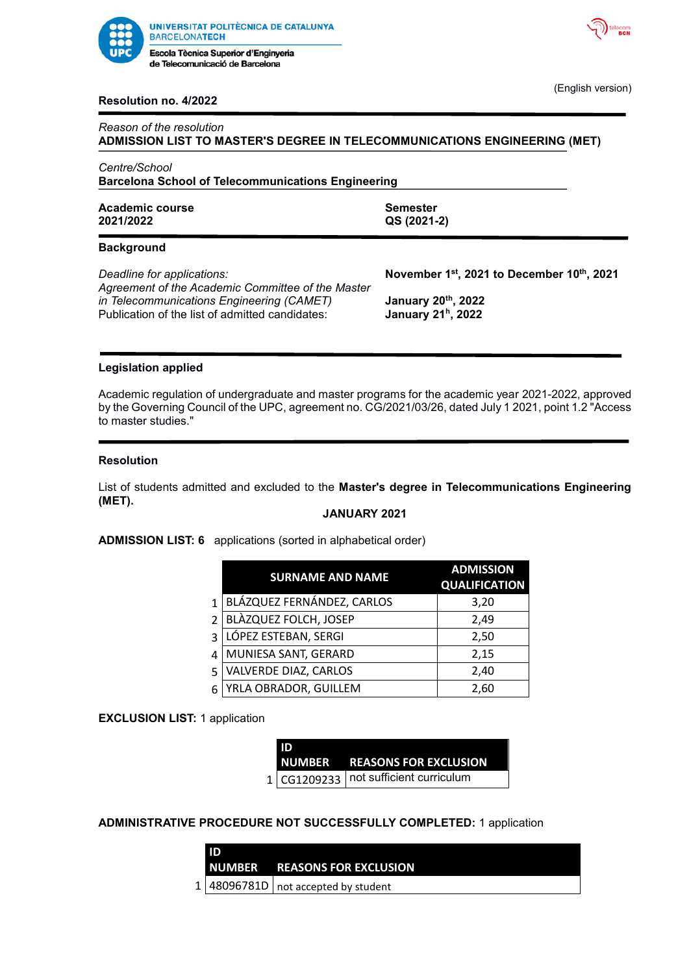



(English version)

### **Resolution no. 4/2022**

| Reason of the resolution                                                  |  |
|---------------------------------------------------------------------------|--|
| ADMISSION LIST TO MASTER'S DEGREE IN TELECOMMUNICATIONS ENGINEERING (MET) |  |
| Centre/School                                                             |  |
| <b>Barcelona School of Telecommunications Engineering</b>                 |  |

Academic course **Semester** Semester **2021/2022 QS (2021-2)**

# **Background**

*Deadline for applications: Agreement of the Academic Committee of the Master in Telecommunications Engineering (CAMET)* Publication of the list of admitted candidates:

**, 2021 to December 10th, 2021**

**, 2022 h , 2022**

#### **Legislation applied**

Academic regulation of undergraduate and master programs for the academic year 2021-2022, approved by the Governing Council of the UPC, agreement no. CG/2021/03/26, dated July 1 2021, point 1.2 "Access to master studies."

#### **Resolution**

List of students admitted and excluded to the **Master's degree in Telecommunications Engineering (MET).**

# **JANUARY 2021**

**ADMISSION LIST: 6** applications (sorted in alphabetical order)

|                          | <b>SURNAME AND NAME</b>      | <b>ADMISSION</b><br><b>QUALIFICATION</b> |
|--------------------------|------------------------------|------------------------------------------|
| $\mathbf{1}$             | BLÁZQUEZ FERNÁNDEZ, CARLOS   | 3,20                                     |
| $\overline{\mathcal{L}}$ | <b>BLÀZQUEZ FOLCH, JOSEP</b> | 2,49                                     |
| 3                        | LÓPEZ ESTEBAN, SERGI         | 2,50                                     |
| 4                        | MUNIESA SANT, GERARD         | 2,15                                     |
| 5                        | VALVERDE DIAZ, CARLOS        | 2,40                                     |
| 6                        | YRLA OBRADOR, GUILLEM        | 2,60                                     |

### **EXCLUSION LIST:** 1 application

**ID** 

| ID |                                          |
|----|------------------------------------------|
|    | NUMBER REASONS FOR EXCLUSION             |
|    | $1 CG1209233 $ not sufficient curriculum |

# **ADMINISTRATIVE PROCEDURE NOT SUCCESSFULLY COMPLETED:** 1 application

| <b>NUMBER</b> | <b>REASONS FOR EXCLUSION</b> |
|---------------|------------------------------|
|               |                              |

 $1 \mid 48096781D \mid$  not accepted by student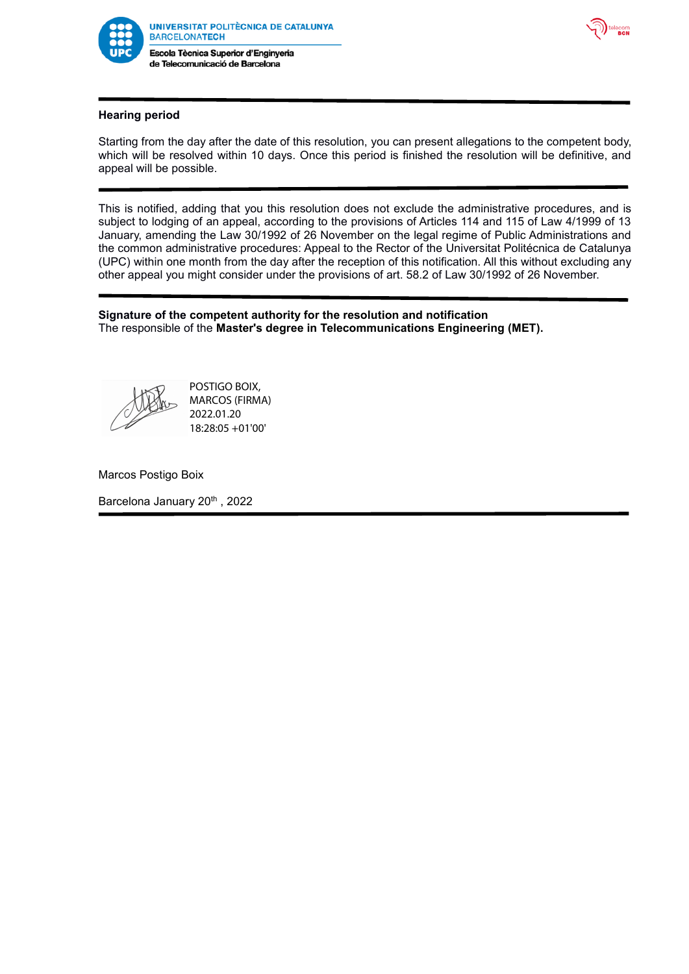

de Telecomunicació de Barcelona



# **Hearing period**

Starting from the day after the date of this resolution, you can present allegations to the competent body, which will be resolved within 10 days. Once this period is finished the resolution will be definitive, and appeal will be possible.

This is notified, adding that you this resolution does not exclude the administrative procedures, and is subject to lodging of an appeal, according to the provisions of Articles 114 and 115 of Law 4/1999 of 13 January, amending the Law 30/1992 of 26 November on the legal regime of Public Administrations and the common administrative procedures: Appeal to the Rector of the Universitat Politécnica de Catalunya (UPC) within one month from the day after the reception of this notification. All this without excluding any other appeal you might consider under the provisions of art. 58.2 of Law 30/1992 of 26 November.

### **Signature of the competent authority for the resolution and notification** The responsible of the **Master's degree in Telecommunications Engineering (MET).**



POSTIGO BOIX, MARCOS (FIRMA) 2022.01.20 18:28:05 +01'00'

Marcos Postigo Boix

Barcelona January 20<sup>th</sup>, 2022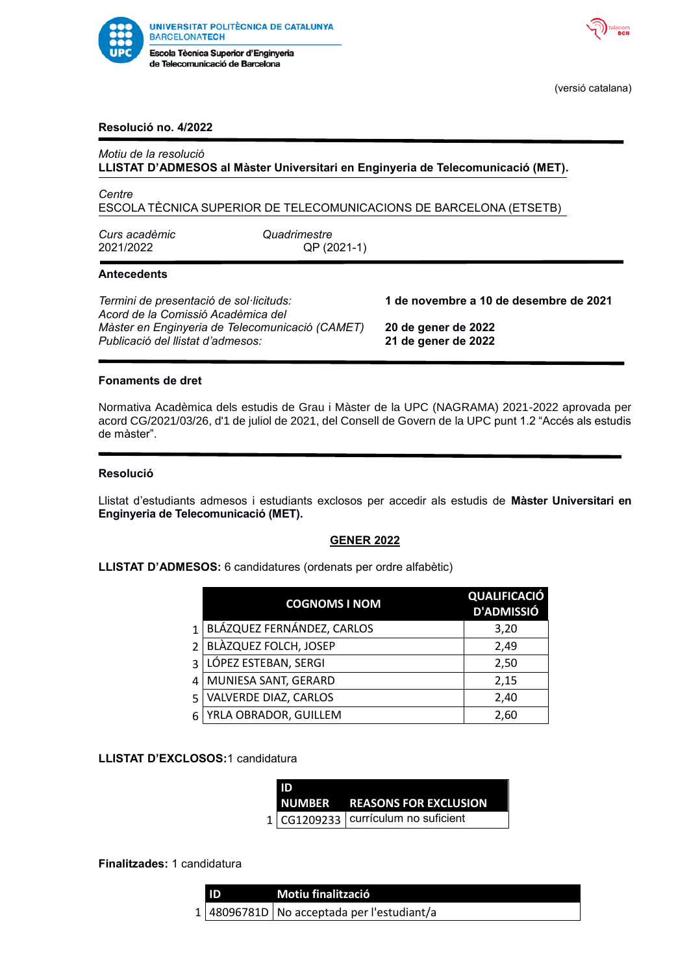



(versió catalana)

### **Resolució no. 4/2022**

| Motiu de la resolució                                                                |                             | LLISTAT D'ADMESOS al Màster Universitari en Enginyeria de Telecomunicació (MET). |
|--------------------------------------------------------------------------------------|-----------------------------|----------------------------------------------------------------------------------|
| Centre                                                                               |                             | ESCOLA TÈCNICA SUPERIOR DE TELECOMUNICACIONS DE BARCELONA (ETSETB)               |
| Curs acadèmic<br>2021/2022                                                           | Quadrimestre<br>QP (2021-1) |                                                                                  |
| <b>Antecedents</b>                                                                   |                             |                                                                                  |
| Termini de presentació de sol·licituds:<br>Acord de la Comissió Acadèmica del        |                             | 1 de novembre a 10 de desembre de 2021                                           |
| Màster en Enginyeria de Telecomunicació (CAMET)<br>Publicació del llistat d'admesos: |                             | 20 de gener de 2022<br>21 de gener de 2022                                       |
|                                                                                      |                             |                                                                                  |

#### **Fonaments de dret**

Normativa Acadèmica dels estudis de Grau i Màster de la UPC (NAGRAMA) 2021-2022 aprovada per acord CG/2021/03/26, d'1 de juliol de 2021, del Consell de Govern de la UPC punt 1.2 "Accés als estudis de màster".

#### **Resolució**

Llistat d'estudiants admesos i estudiants exclosos per accedir als estudis de **Màster Universitari en Enginyeria de Telecomunicació (MET).**

#### **GENER 2022**

**LLISTAT D'ADMESOS:** 6 candidatures (ordenats per ordre alfabètic)

|                | <b>COGNOMS I NOM</b>         | <b>QUALIFICACIÓ</b><br><b>D'ADMISSIÓ</b> |
|----------------|------------------------------|------------------------------------------|
| $\mathbf{1}$   | BLÁZQUEZ FERNÁNDEZ, CARLOS   | 3,20                                     |
| $\mathfrak{p}$ | <b>BLÀZQUEZ FOLCH, JOSEP</b> | 2,49                                     |
| $\mathbf{a}$   | LÓPEZ ESTEBAN, SERGI         | 2,50                                     |
|                | MUNIESA SANT, GERARD         | 2,15                                     |
| 5              | <b>VALVERDE DIAZ, CARLOS</b> | 2,40                                     |
| 6              | YRLA OBRADOR, GUILLEM        | 2,60                                     |

#### **LLISTAT D'EXCLOSOS:**1 candidatura

| ID |                                        |
|----|----------------------------------------|
|    | NUMBER REASONS FOR EXCLUSION           |
|    | $1 CG1209233 $ currículum no suficient |

#### **Finalitzades:** 1 candidatura

| ID | Motiu finalització                           |
|----|----------------------------------------------|
|    | $1$ 48096781D No acceptada per l'estudiant/a |